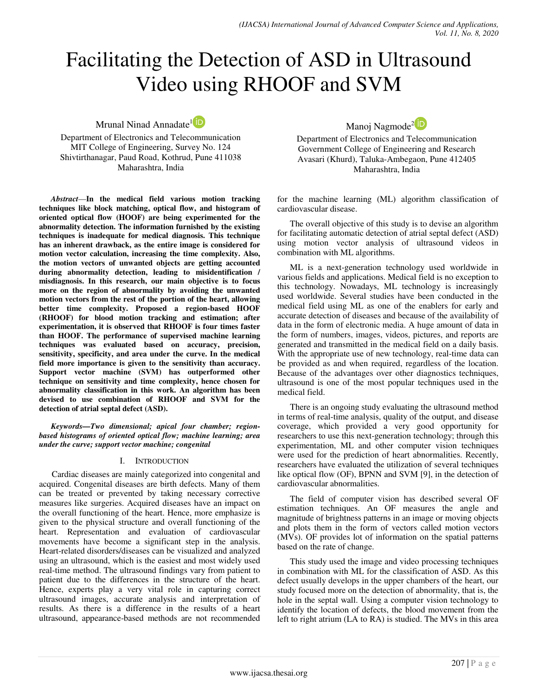# Facilitating the Detection of ASD in Ultrasound Video using RHOOF and SVM

Mrunal Ninad Annadate<sup>1</sup><sup>iD</sup>

Department of Electronics and Telecommunication MIT College of Engineering, Survey No. 124 Shivtirthanagar, Paud Road, Kothrud, Pune 411038 Maharashtra, India

*Abstract*—**In the medical field various motion tracking techniques like block matching, optical flow, and histogram of oriented optical flow (HOOF) are being experimented for the abnormality detection. The information furnished by the existing techniques is inadequate for medical diagnosis. This technique has an inherent drawback, as the entire image is considered for motion vector calculation, increasing the time complexity. Also, the motion vectors of unwanted objects are getting accounted during abnormality detection, leading to misidentification / misdiagnosis. In this research, our main objective is to focus more on the region of abnormality by avoiding the unwanted motion vectors from the rest of the portion of the heart, allowing better time complexity. Proposed a region-based HOOF (RHOOF) for blood motion tracking and estimation; after experimentation, it is observed that RHOOF is four times faster than HOOF. The performance of supervised machine learning techniques was evaluated based on accuracy, precision, sensitivity, specificity, and area under the curve. In the medical field more importance is given to the sensitivity than accuracy. Support vector machine (SVM) has outperformed other technique on sensitivity and time complexity, hence chosen for abnormality classification in this work. An algorithm has been devised to use combination of RHOOF and SVM for the detection of atrial septal defect (ASD).**

*Keywords—Two dimensional; apical four chamber; regionbased histograms of oriented optical flow; machine learning; area under the curve; support vector machine; congenital*

## I. INTRODUCTION

Cardiac diseases are mainly categorized into congenital and acquired. Congenital diseases are birth defects. Many of them can be treated or prevented by taking necessary corrective measures like surgeries. Acquired diseases have an impact on the overall functioning of the heart. Hence, more emphasize is given to the physical structure and overall functioning of the heart. Representation and evaluation of cardiovascular movements have become a significant step in the analysis. Heart-related disorders/diseases can be visualized and analyzed using an ultrasound, which is the easiest and most widely used real-time method. The ultrasound findings vary from patient to patient due to the differences in the structure of the heart. Hence, experts play a very vital role in capturing correct ultrasound images, accurate analysis and interpretation of results. As there is a difference in the results of a heart ultrasound, appearance-based methods are not recommended Manoj Nagmode<sup>2</sup> <sup>iD</sup>

Department of Electronics and Telecommunication Government College of Engineering and Research Avasari (Khurd), Taluka-Ambegaon, Pune 412405 Maharashtra, India

for the machine learning (ML) algorithm classification of cardiovascular disease.

The overall objective of this study is to devise an algorithm for facilitating automatic detection of atrial septal defect (ASD) using motion vector analysis of ultrasound videos in combination with ML algorithms.

ML is a next-generation technology used worldwide in various fields and applications. Medical field is no exception to this technology. Nowadays, ML technology is increasingly used worldwide. Several studies have been conducted in the medical field using ML as one of the enablers for early and accurate detection of diseases and because of the availability of data in the form of electronic media. A huge amount of data in the form of numbers, images, videos, pictures, and reports are generated and transmitted in the medical field on a daily basis. With the appropriate use of new technology, real-time data can be provided as and when required, regardless of the location. Because of the advantages over other diagnostics techniques, ultrasound is one of the most popular techniques used in the medical field.

There is an ongoing study evaluating the ultrasound method in terms of real-time analysis, quality of the output, and disease coverage, which provided a very good opportunity for researchers to use this next-generation technology; through this experimentation, ML and other computer vision techniques were used for the prediction of heart abnormalities. Recently, researchers have evaluated the utilization of several techniques like optical flow (OF), BPNN and SVM [9], in the detection of cardiovascular abnormalities.

The field of computer vision has described several OF estimation techniques. An OF measures the angle and magnitude of brightness patterns in an image or moving objects and plots them in the form of vectors called motion vectors (MVs). OF provides lot of information on the spatial patterns based on the rate of change.

This study used the image and video processing techniques in combination with ML for the classification of ASD. As this defect usually develops in the upper chambers of the heart, our study focused more on the detection of abnormality, that is, the hole in the septal wall. Using a computer vision technology to identify the location of defects, the blood movement from the left to right atrium (LA to RA) is studied. The MVs in this area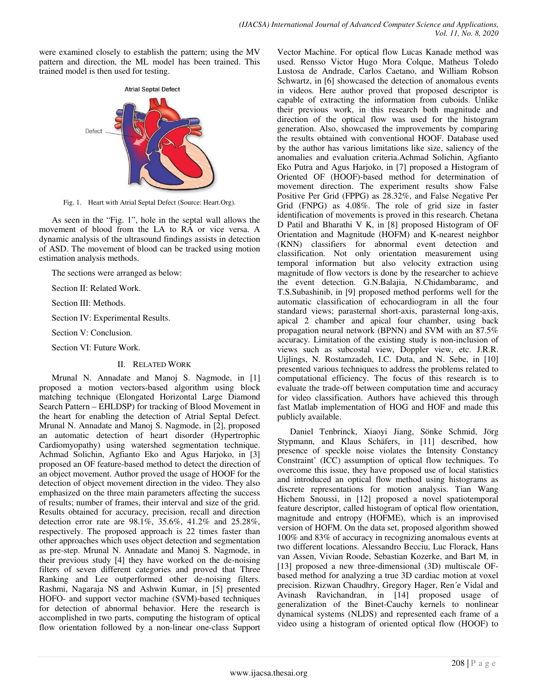were examined closely to establish the pattern; using the MV pattern and direction, the ML model has been trained. This trained model is then used for testing.



Fig. 1. Heart with Atrial Septal Defect (Source: Heart.Org).

As seen in the "Fig. 1", hole in the septal wall allows the movement of blood from the LA to RA or vice versa. A dynamic analysis of the ultrasound findings assists in detection of ASD. The movement of blood can be tracked using motion estimation analysis methods.

The sections were arranged as below:

Section II: Related Work.

Section III: Methods.

Section IV: Experimental Results.

Section V: Conclusion.

Section VI: Future Work.

## II. RELATED WORK

Mrunal N. Annadate and Manoj S. Nagmode, in [1] proposed a motion vectors-based algorithm using block matching technique (Elongated Horizontal Large Diamond Search Pattern – EHLDSP) for tracking of Blood Movement in the heart for enabling the detection of Atrial Septal Defect. Mrunal N. Annadate and Manoj S. Nagmode, in [2], proposed an automatic detection of heart disorder (Hypertrophic Cardiomyopathy) using watershed segmentation technique. Achmad Solichin, Agfianto Eko and Agus Harjoko, in [3] proposed an OF feature-based method to detect the direction of an object movement. Author proved the usage of HOOF for the detection of object movement direction in the video. They also emphasized on the three main parameters affecting the success of results; number of frames, their interval and size of the grid. Results obtained for accuracy, precision, recall and direction detection error rate are 98.1%, 35.6%, 41.2% and 25.28%, respectively. The proposed approach is 22 times faster than other approaches which uses object detection and segmentation as pre-step. Mrunal N. Annadate and Manoj S. Nagmode, in their previous study [4] they have worked on the de-noising filters of seven different categories and proved that Three Ranking and Lee outperformed other de-noising filters. Rashmi, Nagaraja NS and Ashwin Kumar, in [5] presented HOFO- and support vector machine (SVM)-based techniques for detection of abnormal behavior. Here the research is accomplished in two parts, computing the histogram of optical flow orientation followed by a non-linear one-class Support

Vector Machine. For optical flow Lucas Kanade method was used. Rensso Victor Hugo Mora Colque, Matheus Toledo Lustosa de Andrade, Carlos Caetano, and William Robson Schwartz, in [6] showcased the detection of anomalous events in videos. Here author proved that proposed descriptor is capable of extracting the information from cuboids. Unlike their previous work, in this research both magnitude and direction of the optical flow was used for the histogram generation. Also, showcased the improvements by comparing the results obtained with conventional HOOF. Database used by the author has various limitations like size, saliency of the anomalies and evaluation criteria.Achmad Solichin, Agfianto Eko Putra and Agus Harjoko, in [7] proposed a Histogram of Oriented OF (HOOF)-based method for determination of movement direction. The experiment results show False Positive Per Grid (FPPG) as 28.32%, and False Negative Per Grid (FNPG) as 4.08%. The role of grid size in faster identification of movements is proved in this research. Chetana D Patil and Bharathi V K, in [8] proposed Histogram of OF Orientation and Magnitude (HOFM) and K-nearest neighbor (KNN) classifiers for abnormal event detection and classification. Not only orientation measurement using temporal information but also velocity extraction using magnitude of flow vectors is done by the researcher to achieve the event detection. G.N.Balajia, N.Chidambaramc, and T.S.Subashinib, in [9] proposed method performs well for the automatic classification of echocardiogram in all the four standard views; parasternal short-axis, parasternal long-axis, apical 2 chamber and apical four chamber, using back propagation neural network (BPNN) and SVM with an 87.5% accuracy. Limitation of the existing study is non-inclusion of views such as subcostal view, Doppler view, etc. J.R.R. Uijlings, N. Rostamzadeh, I.C. Duta, and N. Sebe, in [10] presented various techniques to address the problems related to computational efficiency. The focus of this research is to evaluate the trade-off between computation time and accuracy for video classification. Authors have achieved this through fast Matlab implementation of HOG and HOF and made this publicly available.

Daniel Tenbrinck, Xiaoyi Jiang, Sönke Schmid, Jörg Stypmann, and Klaus Schäfers, in [11] described, how presence of speckle noise violates the Intensity Constancy Constraint' (ICC) assumption of optical flow techniques. To overcome this issue, they have proposed use of local statistics and introduced an optical flow method using histograms as discrete representations for motion analysis. Tian Wang Hichem Snoussi, in [12] proposed a novel spatiotemporal feature descriptor, called histogram of optical flow orientation, magnitude and entropy (HOFME), which is an improvised version of HOFM. On the data set, proposed algorithm showed 100% and 83% of accuracy in recognizing anomalous events at two different locations. Alessandro Becciu, Luc Florack, Hans van Assen, Vivian Roode, Sebastian Kozerke, and Bart M, in [13] proposed a new three-dimensional (3D) multiscale OFbased method for analyzing a true 3D cardiac motion at voxel precision. Rizwan Chaudhry, Gregory Hager, Ren´e Vidal and Avinash Ravichandran, in [14] proposed usage of generalization of the Binet-Cauchy kernels to nonlinear dynamical systems (NLDS) and represented each frame of a video using a histogram of oriented optical flow (HOOF) to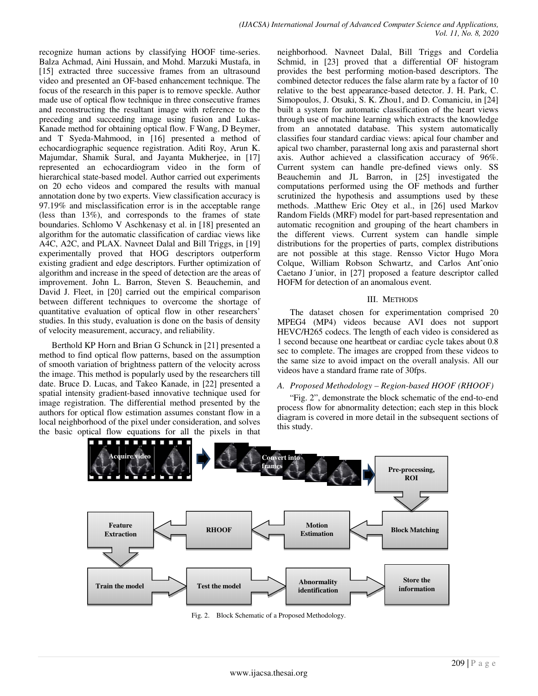recognize human actions by classifying HOOF time-series. Balza Achmad, Aini Hussain, and Mohd. Marzuki Mustafa, in [15] extracted three successive frames from an ultrasound video and presented an OF-based enhancement technique. The focus of the research in this paper is to remove speckle. Author made use of optical flow technique in three consecutive frames and reconstructing the resultant image with reference to the preceding and succeeding image using fusion and Lukas-Kanade method for obtaining optical flow. F Wang, D Beymer, and T Syeda-Mahmood, in [16] presented a method of echocardiographic sequence registration. Aditi Roy, Arun K. Majumdar, Shamik Sural, and Jayanta Mukherjee, in [17] represented an echocardiogram video in the form of hierarchical state-based model. Author carried out experiments on 20 echo videos and compared the results with manual annotation done by two experts. View classification accuracy is 97.19% and misclassification error is in the acceptable range (less than 13%), and corresponds to the frames of state boundaries. Schlomo V Aschkenasy et al. in [18] presented an algorithm for the automatic classification of cardiac views like A4C, A2C, and PLAX. Navneet Dalal and Bill Triggs, in [19] experimentally proved that HOG descriptors outperform existing gradient and edge descriptors. Further optimization of algorithm and increase in the speed of detection are the areas of improvement. John L. Barron, Steven S. Beauchemin, and David J. Fleet, in [20] carried out the empirical comparison between different techniques to overcome the shortage of quantitative evaluation of optical flow in other researchers' studies. In this study, evaluation is done on the basis of density of velocity measurement, accuracy, and reliability.

Berthold KP Horn and Brian G Schunck in [21] presented a method to find optical flow patterns, based on the assumption of smooth variation of brightness pattern of the velocity across the image. This method is popularly used by the researchers till date. Bruce D. Lucas, and Takeo Kanade, in [22] presented a spatial intensity gradient-based innovative technique used for image registration. The differential method presented by the authors for optical flow estimation assumes constant flow in a local neighborhood of the pixel under consideration, and solves the basic optical flow equations for all the pixels in that

neighborhood. Navneet Dalal, Bill Triggs and Cordelia Schmid, in [23] proved that a differential OF histogram provides the best performing motion-based descriptors. The combined detector reduces the false alarm rate by a factor of 10 relative to the best appearance-based detector. J. H. Park, C. Simopoulos, J. Otsuki, S. K. Zhou1, and D. Comaniciu, in [24] built a system for automatic classification of the heart views through use of machine learning which extracts the knowledge from an annotated database. This system automatically classifies four standard cardiac views: apical four chamber and apical two chamber, parasternal long axis and parasternal short axis. Author achieved a classification accuracy of 96%. Current system can handle pre-defined views only. SS Beauchemin and JL Barron, in [25] investigated the computations performed using the OF methods and further scrutinized the hypothesis and assumptions used by these methods. .Matthew Eric Otey et al., in [26] used Markov Random Fields (MRF) model for part-based representation and automatic recognition and grouping of the heart chambers in the different views. Current system can handle simple distributions for the properties of parts, complex distributions are not possible at this stage. Rensso Victor Hugo Mora Colque, William Robson Schwartz, and Carlos Antˆonio Caetano J´unior, in [27] proposed a feature descriptor called HOFM for detection of an anomalous event.

## III. METHODS

The dataset chosen for experimentation comprised 20 MPEG4 (MP4) videos because AVI does not support HEVC/H265 codecs. The length of each video is considered as 1 second because one heartbeat or cardiac cycle takes about 0.8 sec to complete. The images are cropped from these videos to the same size to avoid impact on the overall analysis. All our videos have a standard frame rate of 30fps.

## *A. Proposed Methodology – Region-based HOOF (RHOOF)*

"Fig. 2", demonstrate the block schematic of the end-to-end process flow for abnormality detection; each step in this block diagram is covered in more detail in the subsequent sections of this study.



Fig. 2. Block Schematic of a Proposed Methodology.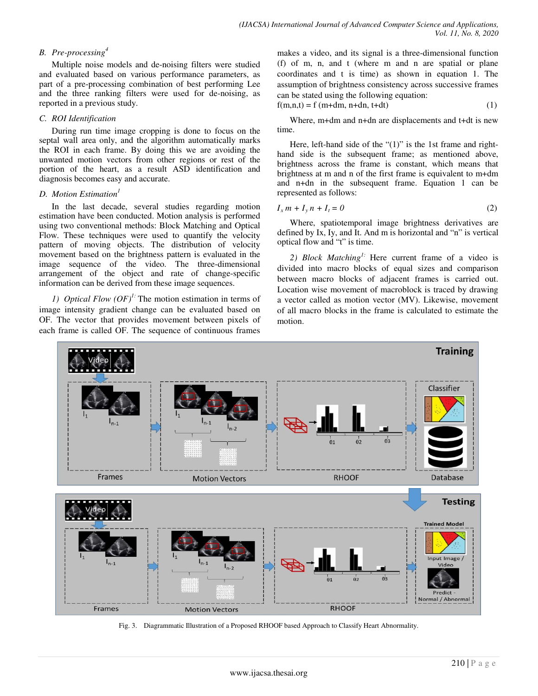# *B. Pre-processing<sup>4</sup>*

Multiple noise models and de-noising filters were studied and evaluated based on various performance parameters, as part of a pre-processing combination of best performing Lee and the three ranking filters were used for de-noising, as reported in a previous study.

## *C. ROI Identification*

During run time image cropping is done to focus on the septal wall area only, and the algorithm automatically marks the ROI in each frame. By doing this we are avoiding the unwanted motion vectors from other regions or rest of the portion of the heart, as a result ASD identification and diagnosis becomes easy and accurate.

## *D. Motion Estimation<sup>1</sup>*

In the last decade, several studies regarding motion estimation have been conducted. Motion analysis is performed using two conventional methods: Block Matching and Optical Flow. These techniques were used to quantify the velocity pattern of moving objects. The distribution of velocity movement based on the brightness pattern is evaluated in the image sequence of the video. The three-dimensional arrangement of the object and rate of change-specific information can be derived from these image sequences.

*1) Optical Flow (OF)1:* The motion estimation in terms of image intensity gradient change can be evaluated based on OF. The vector that provides movement between pixels of each frame is called OF. The sequence of continuous frames makes a video, and its signal is a three-dimensional function (f) of m, n, and t (where m and n are spatial or plane coordinates and t is time) as shown in equation 1. The assumption of brightness consistency across successive frames can be stated using the following equation:

$$
f(m,n,t) = f(m+dm, n+dn, t+dt)
$$
\n(1)

Where, m+dm and n+dn are displacements and t+dt is new time.

Here, left-hand side of the " $(1)$ " is the 1st frame and righthand side is the subsequent frame; as mentioned above, brightness across the frame is constant, which means that brightness at m and n of the first frame is equivalent to m+dm and n+dn in the subsequent frame. Equation 1 can be represented as follows:

$$
I_x m + I_y n + I_t = 0 \tag{2}
$$

Where, spatiotemporal image brightness derivatives are defined by Ix, Iy, and It. And m is horizontal and "n" is vertical optical flow and "t" is time.

*2) Block Matching1:* Here current frame of a video is divided into macro blocks of equal sizes and comparison between macro blocks of adjacent frames is carried out. Location wise movement of macroblock is traced by drawing a vector called as motion vector (MV). Likewise, movement of all macro blocks in the frame is calculated to estimate the motion.



Fig. 3. Diagrammatic Illustration of a Proposed RHOOF based Approach to Classify Heart Abnormality.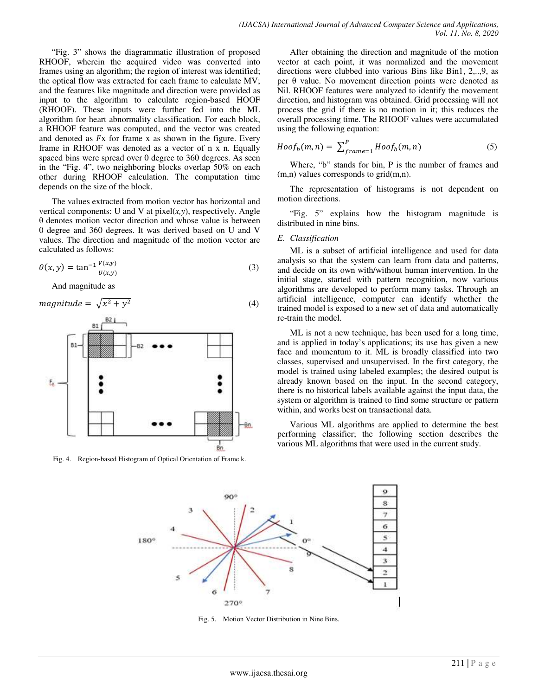"Fig. 3" shows the diagrammatic illustration of proposed RHOOF, wherein the acquired video was converted into frames using an algorithm; the region of interest was identified; the optical flow was extracted for each frame to calculate MV; and the features like magnitude and direction were provided as input to the algorithm to calculate region-based HOOF (RHOOF). These inputs were further fed into the ML algorithm for heart abnormality classification. For each block, a RHOOF feature was computed, and the vector was created and denoted as  $Fx$  for frame x as shown in the figure. Every frame in RHOOF was denoted as a vector of n x n. Equally spaced bins were spread over 0 degree to 360 degrees. As seen in the "Fig. 4", two neighboring blocks overlap 50% on each other during RHOOF calculation. The computation time depends on the size of the block.

The values extracted from motion vector has horizontal and vertical components: U and V at  $pixel(x, y)$ , respectively. Angle θ denotes motion vector direction and whose value is between 0 degree and 360 degrees. It was derived based on U and V values. The direction and magnitude of the motion vector are calculated as follows:

$$
\theta(x, y) = \tan^{-1} \frac{v(x, y)}{v(x, y)}
$$
\n(3)

And magnitude as



Fig. 4. Region-based Histogram of Optical Orientation of Frame k.

After obtaining the direction and magnitude of the motion vector at each point, it was normalized and the movement directions were clubbed into various Bins like Bin1, 2,..,9, as per θ value. No movement direction points were denoted as Nil. RHOOF features were analyzed to identify the movement direction, and histogram was obtained. Grid processing will not process the grid if there is no motion in it; this reduces the overall processing time. The RHOOF values were accumulated using the following equation:

$$
Hoof_b(m,n) = \sum_{frame=1}^{P} Hoof_b(m,n) \tag{5}
$$

Where, "b" stands for bin, P is the number of frames and (m,n) values corresponds to grid(m,n).

The representation of histograms is not dependent on motion directions.

"Fig. 5" explains how the histogram magnitude is distributed in nine bins.

#### *E. Classification*

ML is a subset of artificial intelligence and used for data analysis so that the system can learn from data and patterns, and decide on its own with/without human intervention. In the initial stage, started with pattern recognition, now various algorithms are developed to perform many tasks. Through an artificial intelligence, computer can identify whether the trained model is exposed to a new set of data and automatically re-train the model.

ML is not a new technique, has been used for a long time, and is applied in today's applications; its use has given a new face and momentum to it. ML is broadly classified into two classes, supervised and unsupervised. In the first category, the model is trained using labeled examples; the desired output is already known based on the input. In the second category, there is no historical labels available against the input data, the system or algorithm is trained to find some structure or pattern within, and works best on transactional data.

Various ML algorithms are applied to determine the best performing classifier; the following section describes the various ML algorithms that were used in the current study.



Fig. 5. Motion Vector Distribution in Nine Bins.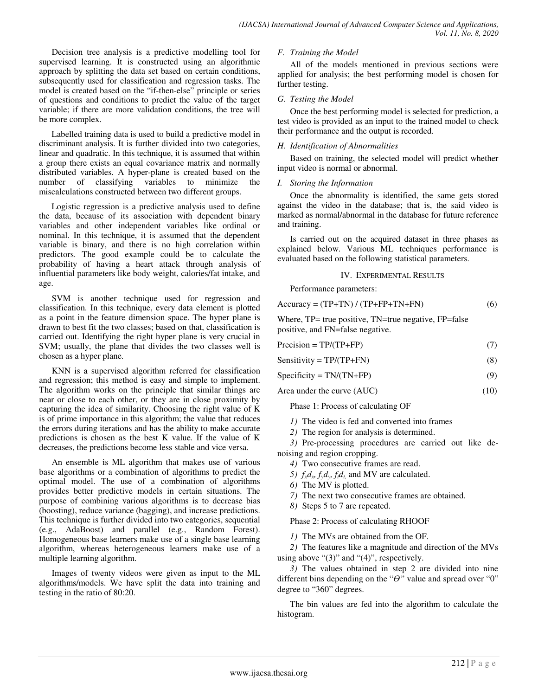Decision tree analysis is a predictive modelling tool for supervised learning. It is constructed using an algorithmic approach by splitting the data set based on certain conditions, subsequently used for classification and regression tasks. The model is created based on the "if-then-else" principle or series of questions and conditions to predict the value of the target variable; if there are more validation conditions, the tree will be more complex.

Labelled training data is used to build a predictive model in discriminant analysis. It is further divided into two categories, linear and quadratic. In this technique, it is assumed that within a group there exists an equal covariance matrix and normally distributed variables. A hyper-plane is created based on the number of classifying variables to minimize the miscalculations constructed between two different groups.

Logistic regression is a predictive analysis used to define the data, because of its association with dependent binary variables and other independent variables like ordinal or nominal. In this technique, it is assumed that the dependent variable is binary, and there is no high correlation within predictors. The good example could be to calculate the probability of having a heart attack through analysis of influential parameters like body weight, calories/fat intake, and age.

SVM is another technique used for regression and classification. In this technique, every data element is plotted as a point in the feature dimension space. The hyper plane is drawn to best fit the two classes; based on that, classification is carried out. Identifying the right hyper plane is very crucial in SVM; usually, the plane that divides the two classes well is chosen as a hyper plane.

KNN is a supervised algorithm referred for classification and regression; this method is easy and simple to implement. The algorithm works on the principle that similar things are near or close to each other, or they are in close proximity by capturing the idea of similarity. Choosing the right value of K is of prime importance in this algorithm; the value that reduces the errors during iterations and has the ability to make accurate predictions is chosen as the best K value. If the value of K decreases, the predictions become less stable and vice versa.

An ensemble is ML algorithm that makes use of various base algorithms or a combination of algorithms to predict the optimal model. The use of a combination of algorithms provides better predictive models in certain situations. The purpose of combining various algorithms is to decrease bias (boosting), reduce variance (bagging), and increase predictions. This technique is further divided into two categories, sequential (e.g., AdaBoost) and parallel (e.g., Random Forest). Homogeneous base learners make use of a single base learning algorithm, whereas heterogeneous learners make use of a multiple learning algorithm.

Images of twenty videos were given as input to the ML algorithms/models. We have split the data into training and testing in the ratio of 80:20.

## *F. Training the Model*

All of the models mentioned in previous sections were applied for analysis; the best performing model is chosen for further testing.

## *G. Testing the Model*

Once the best performing model is selected for prediction, a test video is provided as an input to the trained model to check their performance and the output is recorded.

## *H. Identification of Abnormalities*

Based on training, the selected model will predict whether input video is normal or abnormal.

## *I. Storing the Information*

Once the abnormality is identified, the same gets stored against the video in the database; that is, the said video is marked as normal/abnormal in the database for future reference and training.

Is carried out on the acquired dataset in three phases as explained below. Various ML techniques performance is evaluated based on the following statistical parameters.

## IV. EXPERIMENTAL RESULTS

Performance parameters:

| $Accuracy = (TP + TN) / (TP + FP + TN + FN)$ |  | (6) |
|----------------------------------------------|--|-----|
|----------------------------------------------|--|-----|

Where, TP= true positive, TN=true negative, FP=false positive, and FN=false negative.

| $Precision = TP/(TP+FP)$ |  |
|--------------------------|--|
|                          |  |

| Sensitivity = $TP/(TP+FN)$ | (8) |
|----------------------------|-----|
|                            |     |

$$
Specificity = TN/(TN+FP)
$$
 (9)

Area under the curve (AUC) (10)

Phase 1: Process of calculating OF

- *1)* The video is fed and converted into frames
- *2)* The region for analysis is determined.

*3)* Pre-processing procedures are carried out like denoising and region cropping.

- *4)* Two consecutive frames are read.
- 5)  $f_x d_x$ ,  $f_y d_y$ ,  $f_t d_t$ , and MV are calculated.
- *6)* The MV is plotted.
- *7)* The next two consecutive frames are obtained.
- *8)* Steps 5 to 7 are repeated.

Phase 2: Process of calculating RHOOF

*1)* The MVs are obtained from the OF.

*2)* The features like a magnitude and direction of the MVs using above " $(3)$ " and " $(4)$ ", respectively.

*3)* The values obtained in step 2 are divided into nine different bins depending on the " $\theta$ " value and spread over "0" degree to "360" degrees.

The bin values are fed into the algorithm to calculate the histogram.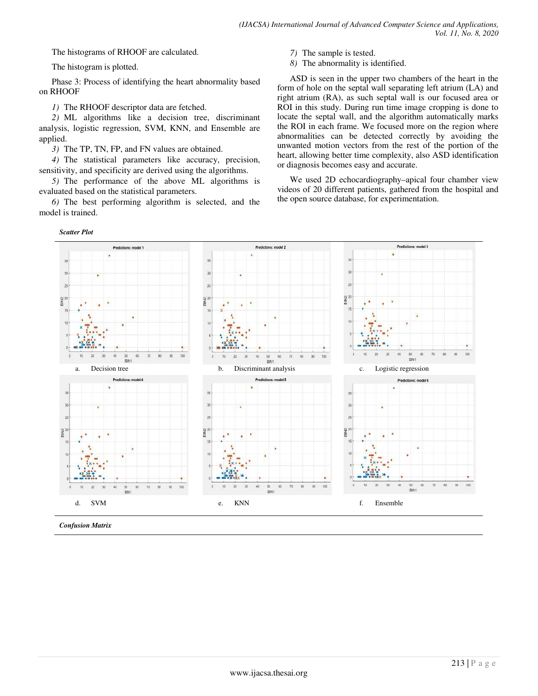The histograms of RHOOF are calculated.

The histogram is plotted.

Phase 3: Process of identifying the heart abnormality based on RHOOF

*1)* The RHOOF descriptor data are fetched.

*2)* ML algorithms like a decision tree, discriminant analysis, logistic regression, SVM, KNN, and Ensemble are applied.

*3)* The TP, TN, FP, and FN values are obtained.

*4)* The statistical parameters like accuracy, precision, sensitivity, and specificity are derived using the algorithms.

*5)* The performance of the above ML algorithms is evaluated based on the statistical parameters.

*6)* The best performing algorithm is selected, and the model is trained.

*Scatter Plot*

- *7)* The sample is tested.
- *8)* The abnormality is identified.

ASD is seen in the upper two chambers of the heart in the form of hole on the septal wall separating left atrium (LA) and right atrium (RA), as such septal wall is our focused area or ROI in this study. During run time image cropping is done to locate the septal wall, and the algorithm automatically marks the ROI in each frame. We focused more on the region where abnormalities can be detected correctly by avoiding the unwanted motion vectors from the rest of the portion of the heart, allowing better time complexity, also ASD identification or diagnosis becomes easy and accurate.

We used 2D echocardiography–apical four chamber view videos of 20 different patients, gathered from the hospital and the open source database, for experimentation.



*Confusion Matrix*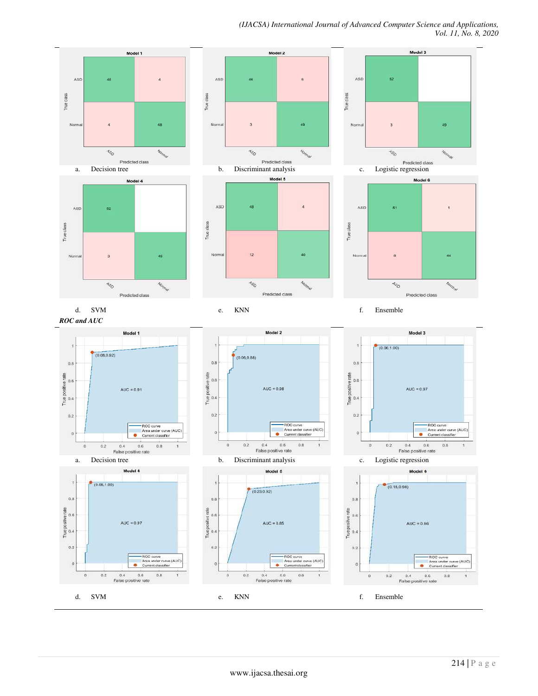*(IJACSA) International Journal of Advanced Computer Science and Applications, Vol. 11, No. 8, 2020*

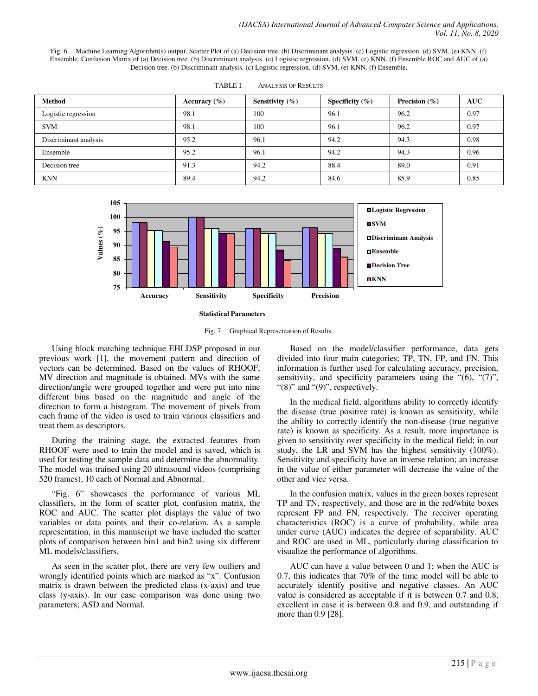Fig. 6. Machine Learning Algorithm(s) output. Scatter Plot of (a) Decision tree. (b) Discriminant analysis. (c) Logistic regression. (d) SVM. (e) KNN. (f) Ensemble. Confusion Matrix of (a) Decision tree. (b) Discriminant analysis. (c) Logistic regression. (d) SVM. (e) KNN. (f) Ensemble ROC and AUC of (a) Decision tree. (b) Discriminant analysis. (c) Logistic regression. (d) SVM. (e) KNN. (f) Ensemble.

| <b>Method</b>         | Accuracy $(\% )$ | Sensitivity $(\% )$ | Specificity $(\% )$ | Precision $(\% )$ | <b>AUC</b> |
|-----------------------|------------------|---------------------|---------------------|-------------------|------------|
| Logistic regression   | 98.1             | 100                 | 96.1                | 96.2              | 0.97       |
| <b>SVM</b>            | 98.1             | 100                 | 96.1                | 96.2              | 0.97       |
| Discriminant analysis | 95.2             | 96.1                | 94.2                | 94.3              | 0.98       |
| Ensemble              | 95.2             | 96.1                | 94.2                | 94.3              | 0.96       |
| Decision tree         | 91.3             | 94.2                | 88.4                | 89.0              | 0.91       |
| <b>KNN</b>            | 89.4             | 94.2                | 84.6                | 85.9              | 0.85       |

| TABLE I. | <b>ANALYSIS OF RESULTS</b> |  |
|----------|----------------------------|--|
|          |                            |  |



Fig. 7. Graphical Representation of Results.

Using block matching technique EHLDSP proposed in our previous work [1], the movement pattern and direction of vectors can be determined. Based on the values of RHOOF, MV direction and magnitude is obtained. MVs with the same direction/angle were grouped together and were put into nine different bins based on the magnitude and angle of the direction to form a histogram. The movement of pixels from each frame of the video is used to train various classifiers and treat them as descriptors.

During the training stage, the extracted features from RHOOF were used to train the model and is saved, which is used for testing the sample data and determine the abnormality. The model was trained using 20 ultrasound videos (comprising 520 frames), 10 each of Normal and Abnormal.

"Fig. 6" showcases the performance of various ML classifiers, in the form of scatter plot, confusion matrix, the ROC and AUC. The scatter plot displays the value of two variables or data points and their co-relation. As a sample representation, in this manuscript we have included the scatter plots of comparison between bin1 and bin2 using six different ML models/classifiers.

As seen in the scatter plot, there are very few outliers and wrongly identified points which are marked as "x". Confusion matrix is drawn between the predicted class (x-axis) and true class (y-axis). In our case comparison was done using two parameters; ASD and Normal.

Based on the model/classifier performance, data gets divided into four main categories; TP, TN, FP, and FN. This information is further used for calculating accuracy, precision, sensitivity, and specificity parameters using the "(6), "(7)", " $(8)$ " and " $(9)$ ", respectively.

In the medical field, algorithms ability to correctly identify the disease (true positive rate) is known as sensitivity, while the ability to correctly identify the non-disease (true negative rate) is known as specificity. As a result, more importance is given to sensitivity over specificity in the medical field; in our study, the LR and SVM has the highest sensitivity (100%). Sensitivity and specificity have an inverse relation; an increase in the value of either parameter will decrease the value of the other and vice versa.

In the confusion matrix, values in the green boxes represent TP and TN, respectively, and those are in the red/white boxes represent FP and FN, respectively. The receiver operating characteristics (ROC) is a curve of probability, while area under curve (AUC) indicates the degree of separability. AUC and ROC are used in ML, particularly during classification to visualize the performance of algorithms.

AUC can have a value between 0 and 1; when the AUC is 0.7, this indicates that 70% of the time model will be able to accurately identify positive and negative classes. An AUC value is considered as acceptable if it is between 0.7 and 0.8, excellent in case it is between 0.8 and 0.9, and outstanding if more than 0.9 [28].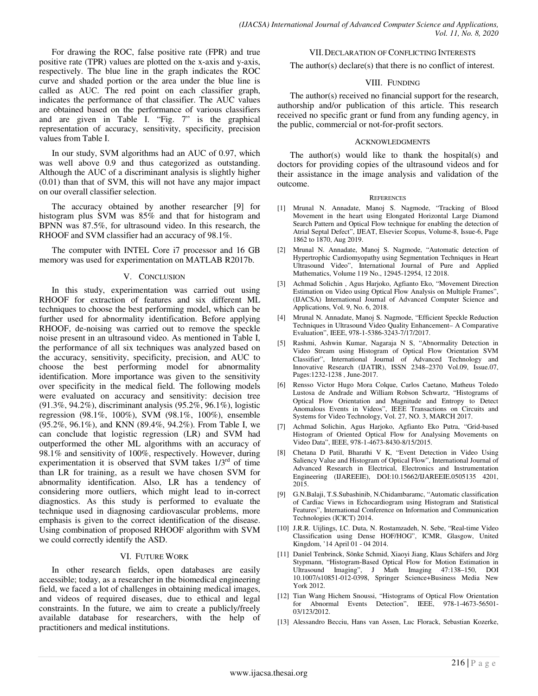For drawing the ROC, false positive rate (FPR) and true positive rate (TPR) values are plotted on the x-axis and y-axis, respectively. The blue line in the graph indicates the ROC curve and shaded portion or the area under the blue line is called as AUC. The red point on each classifier graph, indicates the performance of that classifier. The AUC values are obtained based on the performance of various classifiers and are given in Table I. "Fig. 7" is the graphical representation of accuracy, sensitivity, specificity, precision values from Table I.

In our study, SVM algorithms had an AUC of 0.97, which was well above 0.9 and thus categorized as outstanding. Although the AUC of a discriminant analysis is slightly higher (0.01) than that of SVM, this will not have any major impact on our overall classifier selection.

The accuracy obtained by another researcher [9] for histogram plus SVM was 85% and that for histogram and BPNN was 87.5%, for ultrasound video. In this research, the RHOOF and SVM classifier had an accuracy of 98.1%.

The computer with INTEL Core i7 processor and 16 GB memory was used for experimentation on MATLAB R2017b.

## V. CONCLUSION

In this study, experimentation was carried out using RHOOF for extraction of features and six different ML techniques to choose the best performing model, which can be further used for abnormality identification. Before applying RHOOF, de-noising was carried out to remove the speckle noise present in an ultrasound video. As mentioned in Table I, the performance of all six techniques was analyzed based on the accuracy, sensitivity, specificity, precision, and AUC to choose the best performing model for abnormality identification. More importance was given to the sensitivity over specificity in the medical field. The following models were evaluated on accuracy and sensitivity: decision tree (91.3%, 94.2%), discriminant analysis (95.2%, 96.1%), logistic regression (98.1%, 100%), SVM (98.1%, 100%), ensemble (95.2%, 96.1%), and KNN (89.4%, 94.2%). From Table I, we can conclude that logistic regression (LR) and SVM had outperformed the other ML algorithms with an accuracy of 98.1% and sensitivity of 100%, respectively. However, during experimentation it is observed that SVM takes  $1/3<sup>rd</sup>$  of time than LR for training, as a result we have chosen SVM for abnormality identification. Also, LR has a tendency of considering more outliers, which might lead to in-correct diagnostics. As this study is performed to evaluate the technique used in diagnosing cardiovascular problems, more emphasis is given to the correct identification of the disease. Using combination of proposed RHOOF algorithm with SVM we could correctly identify the ASD.

## VI. FUTURE WORK

In other research fields, open databases are easily accessible; today, as a researcher in the biomedical engineering field, we faced a lot of challenges in obtaining medical images, and videos of required diseases, due to ethical and legal constraints. In the future, we aim to create a publicly/freely available database for researchers, with the help of practitioners and medical institutions.

#### VII.DECLARATION OF CONFLICTING INTERESTS

The author(s) declare(s) that there is no conflict of interest.

#### VIII. FUNDING

The author(s) received no financial support for the research, authorship and/or publication of this article. This research received no specific grant or fund from any funding agency, in the public, commercial or not-for-profit sectors.

#### ACKNOWLEDGMENTS

The author(s) would like to thank the hospital(s) and doctors for providing copies of the ultrasound videos and for their assistance in the image analysis and validation of the outcome.

#### **REFERENCES**

- [1] Mrunal N. Annadate, Manoj S. Nagmode, "Tracking of Blood Movement in the heart using Elongated Horizontal Large Diamond Search Pattern and Optical Flow technique for enabling the detection of Atrial Septal Defect", IJEAT, Elsevier Scopus, Volume-8, Issue-6, Page 1862 to 1870, Aug 2019.
- [2] Mrunal N. Annadate, Manoj S. Nagmode, "Automatic detection of Hypertrophic Cardiomyopathy using Segmentation Techniques in Heart Ultrasound Video", International Journal of Pure and Applied Mathematics, Volume 119 No., 12945-12954, 12 2018.
- [3] Achmad Solichin , Agus Harjoko, Agfianto Eko, "Movement Direction Estimation on Video using Optical Flow Analysis on Multiple Frames", (IJACSA) International Journal of Advanced Computer Science and Applications, Vol. 9, No. 6, 2018.
- [4] Mrunal N. Annadate, Manoj S. Nagmode, "Efficient Speckle Reduction Techniques in Ultrasound Video Quality Enhancement– A Comparative Evaluation", IEEE, 978-1-5386-3243-7/17/2017.
- [5] Rashmi, Ashwin Kumar, Nagaraja N S, "Abnormality Detection in Video Stream using Histogram of Optical Flow Orientation SVM Classifier", International Journal of Advanced Technology and Innovative Research (IJATIR), ISSN 2348–2370 Vol.09, Issue.07, Pages:1232-1238 , June-2017.
- [6] Rensso Victor Hugo Mora Colque, Carlos Caetano, Matheus Toledo Lustosa de Andrade and William Robson Schwartz, "Histograms of Optical Flow Orientation and Magnitude and Entropy to Detect Anomalous Events in Videos", IEEE Transactions on Circuits and Systems for Video Technology, Vol. 27, NO. 3, MARCH 2017.
- [7] Achmad Solichin, Agus Harjoko, Agfianto Eko Putra, "Grid-based Histogram of Oriented Optical Flow for Analysing Movements on Video Data", IEEE, 978-1-4673-8430-8/15/2015.
- [8] Chetana D Patil, Bharathi V K, "Event Detection in Video Using Saliency Value and Histogram of Optical Flow", International Journal of Advanced Research in Electrical, Electronics and Instrumentation Engineering (IJAREEIE), DOI:10.15662/IJAREEIE.0505135 4201, 2015.
- [9] G.N.Balaji, T.S.Subashinib, N.Chidambaramc, "Automatic classification of Cardiac Views in Echocardiogram using Histogram and Statistical Features", International Conference on Information and Communication Technologies (ICICT) 2014.
- [10] J.R.R. Uijlings, I.C. Duta, N. Rostamzadeh, N. Sebe, "Real-time Video Classification using Dense HOF/HOG", ICMR, Glasgow, United Kingdom, '14 April 01 - 04 2014.
- [11] Daniel Tenbrinck, Sönke Schmid, Xiaoyi Jiang, Klaus Schäfers and Jörg Stypmann, "Histogram-Based Optical Flow for Motion Estimation in Ultrasound Imaging", J Math Imaging 47:138–150, DOI 10.1007/s10851-012-0398, Springer Science+Business Media New York 2012.
- [12] Tian Wang Hichem Snoussi, "Histograms of Optical Flow Orientation for Abnormal Events Detection", IEEE, 978-1-4673-56501- 03/123/2012.
- [13] Alessandro Becciu, Hans van Assen, Luc Florack, Sebastian Kozerke,